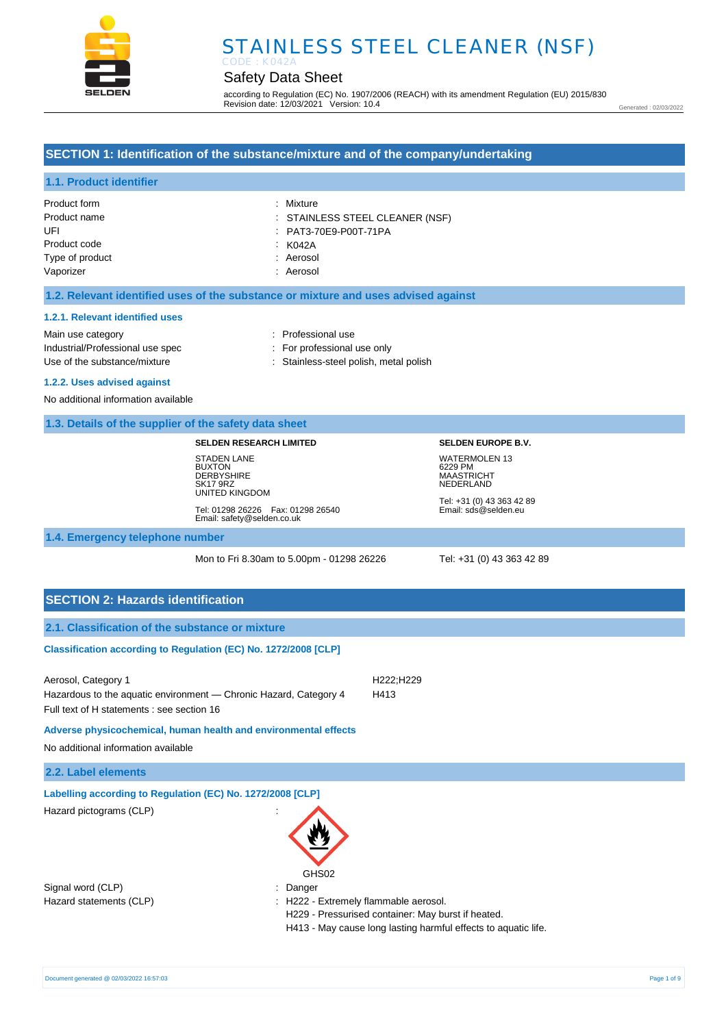

# STAINLESS STEEL CLEANER (NSF) CODE : K042A

# Safety Data Sheet

according to Regulation (EC) No. 1907/2006 (REACH) with its amendment Regulation (EU) 2015/830 Revision date: 12/03/2021 Version: 10.4

Generated : 02/03/2022

#### **SECTION 1: Identification of the substance/mixture and of the company/undertaking**

#### **1.1. Product identifier**

| Product form    | : Mixture                       |
|-----------------|---------------------------------|
| Product name    | : STAINLESS STEEL CLEANER (NSF) |
| UFI             | : PAT3-70E9-P00T-71PA           |
| Product code    | : K042A                         |
| Type of product | : Aerosol                       |
| Vaporizer       | : Aerosol                       |

#### **1.2. Relevant identified uses of the substance or mixture and uses advised against**

#### **1.2.1. Relevant identified uses**

Main use category **Example 20** and 20 and 20 and 20 and 20 and 20 and 20 and 20 and 20 and 20 and 20 and 20 and 20 and 20 and 20 and 20 and 20 and 20 and 20 and 20 and 20 and 20 and 20 and 20 and 20 and 20 and 20 and 20 an Industrial/Professional use spec : For professional use only Use of the substance/mixture : Stainless-steel polish, metal polish

#### **1.2.2. Uses advised against**

No additional information available

#### **1.3. Details of the supplier of the safety data sheet**

#### **SELDEN RESEARCH LIMITED**

STADEN LANE **BUXTON** DERBYSHIRE SK17 9RZ UNITED KINGDOM Tel: 01298 26226 Fax: 01298 26540 Email: safety@selden.co.uk **SELDEN EUROPE B.V.** WATERMOLEN 13 6229 PM MAASTRICHT NEDERLAND

Tel: +31 (0) 43 363 42 89 Email: sds@selden.eu

#### **1.4. Emergency telephone number**

Mon to Fri 8.30am to 5.00pm - 01298 26226 Tel: +31 (0) 43 363 42 89

### **SECTION 2: Hazards identification**

| 2.1. Classification of the substance or mixture                                                                                        |                                                   |                                                                                                                      |  |
|----------------------------------------------------------------------------------------------------------------------------------------|---------------------------------------------------|----------------------------------------------------------------------------------------------------------------------|--|
| Classification according to Regulation (EC) No. 1272/2008 [CLP]                                                                        |                                                   |                                                                                                                      |  |
| Aerosol, Category 1<br>Hazardous to the aquatic environment - Chronic Hazard, Category 4<br>Full text of H statements : see section 16 |                                                   | H <sub>222</sub> ;H <sub>229</sub><br>H413                                                                           |  |
| Adverse physicochemical, human health and environmental effects<br>No additional information available                                 |                                                   |                                                                                                                      |  |
| 2.2. Label elements                                                                                                                    |                                                   |                                                                                                                      |  |
| Labelling according to Regulation (EC) No. 1272/2008 [CLP]<br>Hazard pictograms (CLP)                                                  | GHS02                                             |                                                                                                                      |  |
| Signal word (CLP)<br>Hazard statements (CLP)                                                                                           | : Danger<br>: H222 - Extremely flammable aerosol. | H229 - Pressurised container: May burst if heated.<br>H413 - May cause long lasting harmful effects to aquatic life. |  |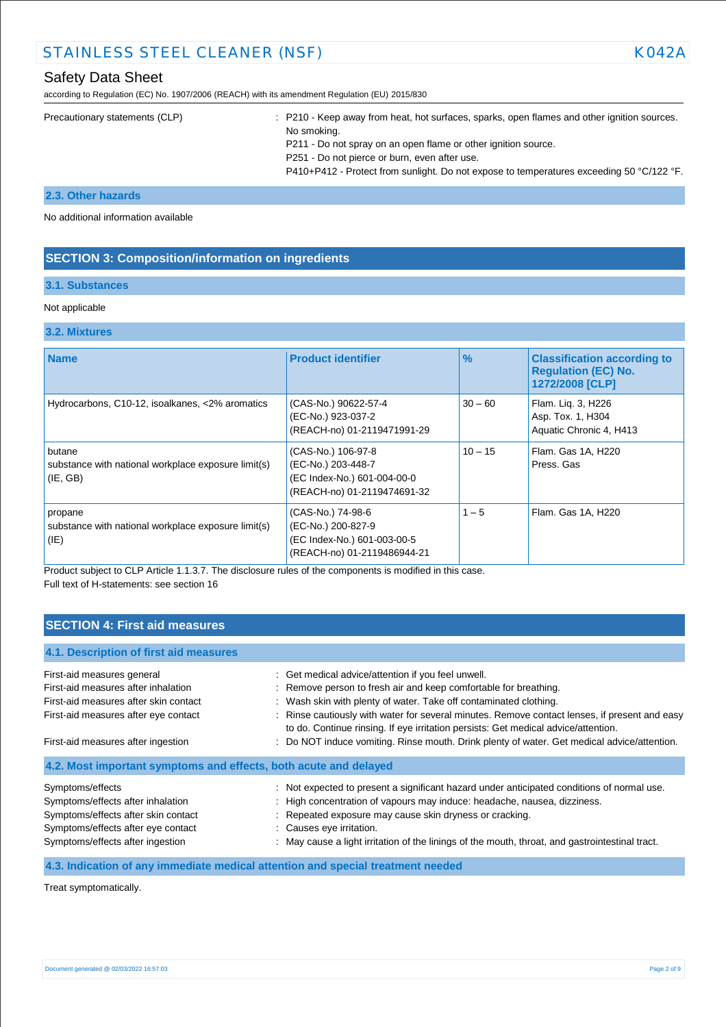# STAINLESS STEEL CLEANER (NSF) NAMEL AND RESEARCH MARK AND A RESEARCH MARK AND RESEARCH MARK AND RESEARCH MARK AND RESEARCH MARK AND RESEARCH MARK AND RESEARCH MARK AND RESEARCH MARK AND RESEARCH MARK AND RESEARCH MARK AND

# Safety Data Sheet

according to Regulation (EC) No. 1907/2006 (REACH) with its amendment Regulation (EU) 2015/830

| Precautionary statements (CLP) | : P210 - Keep away from heat, hot surfaces, sparks, open flames and other ignition sources.<br>No smoking.<br>P211 - Do not spray on an open flame or other ignition source.<br>P251 - Do not pierce or burn, even after use.<br>P410+P412 - Protect from sunlight. Do not expose to temperatures exceeding 50 °C/122 °F. |
|--------------------------------|---------------------------------------------------------------------------------------------------------------------------------------------------------------------------------------------------------------------------------------------------------------------------------------------------------------------------|
|                                |                                                                                                                                                                                                                                                                                                                           |

#### **2.3. Other hazards**

No additional information available

### **SECTION 3: Composition/information on ingredients**

#### **3.1. Substances**

#### Not applicable

# **3.2. Mixtures**

| <b>Name</b>                                                               | <b>Product identifier</b>                                                                              | $\%$      | <b>Classification according to</b><br><b>Requlation (EC) No.</b><br>1272/2008 [CLP] |
|---------------------------------------------------------------------------|--------------------------------------------------------------------------------------------------------|-----------|-------------------------------------------------------------------------------------|
| Hydrocarbons, C10-12, isoalkanes, <2% aromatics                           | (CAS-No.) 90622-57-4<br>(EC-No.) 923-037-2<br>(REACH-no) 01-2119471991-29                              | $30 - 60$ | Flam. Liq. 3, H226<br>Asp. Tox. 1, H304<br>Aquatic Chronic 4, H413                  |
| butane<br>substance with national workplace exposure limit(s)<br>(IE, GB) | (CAS-No.) 106-97-8<br>(EC-No.) 203-448-7<br>(EC Index-No.) 601-004-00-0<br>(REACH-no) 01-2119474691-32 | $10 - 15$ | Flam. Gas 1A, H220<br>Press, Gas                                                    |
| propane<br>substance with national workplace exposure limit(s)<br>(IE)    | (CAS-No.) 74-98-6<br>(EC-No.) 200-827-9<br>(EC Index-No.) 601-003-00-5<br>(REACH-no) 01-2119486944-21  | $1 - 5$   | Flam. Gas 1A, H220                                                                  |

Product subject to CLP Article 1.1.3.7. The disclosure rules of the components is modified in this case. Full text of H-statements: see section 16

# **SECTION 4: First aid measures**

| 4.1. Description of first aid measures                           |                                                                                                                                                                                     |
|------------------------------------------------------------------|-------------------------------------------------------------------------------------------------------------------------------------------------------------------------------------|
| First-aid measures general                                       | : Get medical advice/attention if you feel unwell.                                                                                                                                  |
| First-aid measures after inhalation                              | : Remove person to fresh air and keep comfortable for breathing.                                                                                                                    |
| First-aid measures after skin contact                            | : Wash skin with plenty of water. Take off contaminated clothing.                                                                                                                   |
| First-aid measures after eye contact                             | : Rinse cautiously with water for several minutes. Remove contact lenses, if present and easy<br>to do. Continue rinsing. If eye irritation persists: Get medical advice/attention. |
| First-aid measures after ingestion                               | : Do NOT induce vomiting. Rinse mouth. Drink plenty of water. Get medical advice/attention.                                                                                         |
| 4.2. Most important symptoms and effects, both acute and delayed |                                                                                                                                                                                     |
| Symptoms/effects                                                 | : Not expected to present a significant hazard under anticipated conditions of normal use.                                                                                          |
| Symptoms/effects after inhalation                                | : High concentration of vapours may induce: headache, nausea, dizziness.                                                                                                            |
| Symptoms/effects after skin contact                              | : Repeated exposure may cause skin dryness or cracking.                                                                                                                             |
| Symptoms/effects after eye contact                               | : Causes eye irritation.                                                                                                                                                            |
| Symptoms/effects after ingestion                                 | : May cause a light irritation of the linings of the mouth, throat, and gastrointestinal tract.                                                                                     |

### **4.3. Indication of any immediate medical attention and special treatment needed**

Treat symptomatically.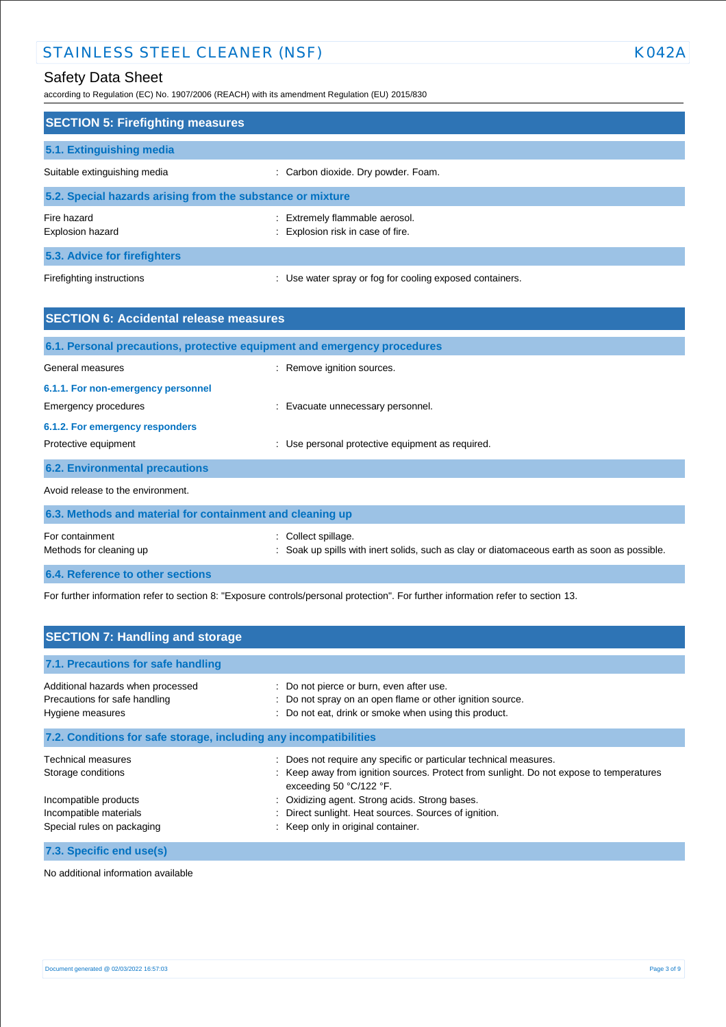# STAINLESS STEEL CLEANER (NSF) KO42A

according to Regulation (EC) No. 1907/2006 (REACH) with its amendment Regulation (EU) 2015/830

| <b>SECTION 5: Firefighting measures</b>                    |                                                                     |  |
|------------------------------------------------------------|---------------------------------------------------------------------|--|
| 5.1. Extinguishing media                                   |                                                                     |  |
| Suitable extinguishing media                               | : Carbon dioxide. Dry powder. Foam.                                 |  |
| 5.2. Special hazards arising from the substance or mixture |                                                                     |  |
| Fire hazard<br>Explosion hazard                            | : Extremely flammable aerosol.<br>: Explosion risk in case of fire. |  |
| 5.3. Advice for firefighters                               |                                                                     |  |
| Firefighting instructions                                  | : Use water spray or fog for cooling exposed containers.            |  |

| <b>SECTION 6: Accidental release measures</b>                            |                                                                                                                |  |
|--------------------------------------------------------------------------|----------------------------------------------------------------------------------------------------------------|--|
| 6.1. Personal precautions, protective equipment and emergency procedures |                                                                                                                |  |
| General measures                                                         | : Remove ignition sources.                                                                                     |  |
| 6.1.1. For non-emergency personnel                                       |                                                                                                                |  |
| Emergency procedures                                                     | : Evacuate unnecessary personnel.                                                                              |  |
| 6.1.2. For emergency responders                                          |                                                                                                                |  |
| Protective equipment                                                     | : Use personal protective equipment as required.                                                               |  |
| <b>6.2. Environmental precautions</b>                                    |                                                                                                                |  |
| Avoid release to the environment.                                        |                                                                                                                |  |
| 6.3. Methods and material for containment and cleaning up                |                                                                                                                |  |
| For containment<br>Methods for cleaning up                               | Collect spillage.<br>Soak up spills with inert solids, such as clay or diatomaceous earth as soon as possible. |  |
| 6.4. Reference to other sections                                         |                                                                                                                |  |

For further information refer to section 8: "Exposure controls/personal protection". For further information refer to section 13.

| <b>SECTION 7: Handling and storage</b>                                                 |                                                                                                                                                                                         |  |
|----------------------------------------------------------------------------------------|-----------------------------------------------------------------------------------------------------------------------------------------------------------------------------------------|--|
| 7.1. Precautions for safe handling                                                     |                                                                                                                                                                                         |  |
| Additional hazards when processed<br>Precautions for safe handling<br>Hygiene measures | : Do not pierce or burn, even after use.<br>: Do not spray on an open flame or other ignition source.<br>: Do not eat, drink or smoke when using this product.                          |  |
| 7.2. Conditions for safe storage, including any incompatibilities                      |                                                                                                                                                                                         |  |
| Technical measures<br>Storage conditions                                               | Does not require any specific or particular technical measures.<br>: Keep away from ignition sources. Protect from sunlight. Do not expose to temperatures<br>exceeding 50 $°C/122$ °F. |  |
| Incompatible products<br>Incompatible materials<br>Special rules on packaging          | Oxidizing agent. Strong acids. Strong bases.<br>Direct sunlight. Heat sources. Sources of ignition.<br>: Keep only in original container.                                               |  |
| 7.3. Specific end use(s)                                                               |                                                                                                                                                                                         |  |

No additional information available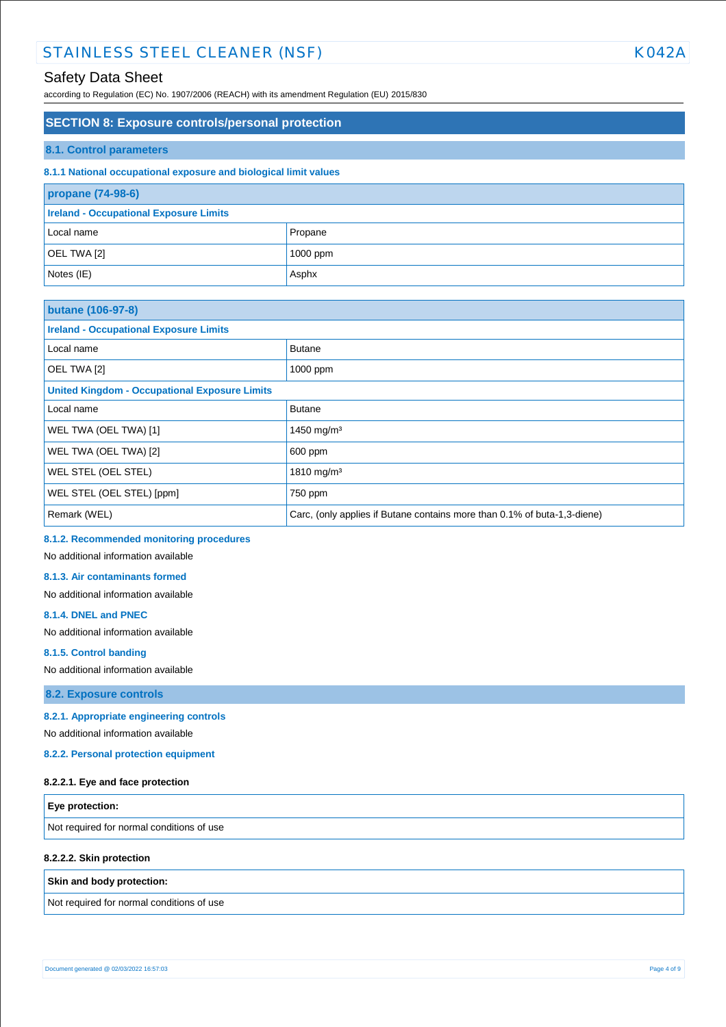# STAINLESS STEEL CLEANER (NSF) NAMEL AND THE RESERVE TO A RESERVE THE RESERVE TO A RESERVE THE RESERVE TO A RESERVE THE RESERVE TO A RESERVE THE RESERVE TO A RESERVE THE RESERVE TO A RESERVE THE RESERVE THAT A RESERVE THE R

# Safety Data Sheet

according to Regulation (EC) No. 1907/2006 (REACH) with its amendment Regulation (EU) 2015/830

#### **SECTION 8: Exposure controls/personal protection**

#### **8.1. Control parameters**

#### **8.1.1 National occupational exposure and biological limit values**

| propane (74-98-6)                             |            |
|-----------------------------------------------|------------|
| <b>Ireland - Occupational Exposure Limits</b> |            |
| Local name                                    | Propane    |
| OEL TWA [2]                                   | $1000$ ppm |
| Notes (IE)                                    | Asphx      |

| <b>butane (106-97-8)</b>                             |                                                                          |  |
|------------------------------------------------------|--------------------------------------------------------------------------|--|
| <b>Ireland - Occupational Exposure Limits</b>        |                                                                          |  |
| Local name                                           | <b>Butane</b>                                                            |  |
| OEL TWA [2]                                          | 1000 ppm                                                                 |  |
| <b>United Kingdom - Occupational Exposure Limits</b> |                                                                          |  |
| Local name                                           | <b>Butane</b>                                                            |  |
| WEL TWA (OEL TWA) [1]                                | 1450 mg/m <sup>3</sup>                                                   |  |
| WEL TWA (OEL TWA) [2]                                | 600 ppm                                                                  |  |
| WEL STEL (OEL STEL)                                  | 1810 mg/m <sup>3</sup>                                                   |  |
| WEL STEL (OEL STEL) [ppm]                            | 750 ppm                                                                  |  |
| Remark (WEL)                                         | Carc, (only applies if Butane contains more than 0.1% of buta-1,3-diene) |  |

#### **8.1.2. Recommended monitoring procedures**

No additional information available

#### **8.1.3. Air contaminants formed**

No additional information available

#### **8.1.4. DNEL and PNEC**

No additional information available

#### **8.1.5. Control banding**

No additional information available

**8.2. Exposure controls**

#### **8.2.1. Appropriate engineering controls**

No additional information available

**8.2.2. Personal protection equipment**

#### **8.2.2.1. Eye and face protection**

| $\epsilon$ Eye protection:                |  |
|-------------------------------------------|--|
| Not required for normal conditions of use |  |
| 8.2.2.2. Skin protection                  |  |

**Skin and body protection:**

Not required for normal conditions of use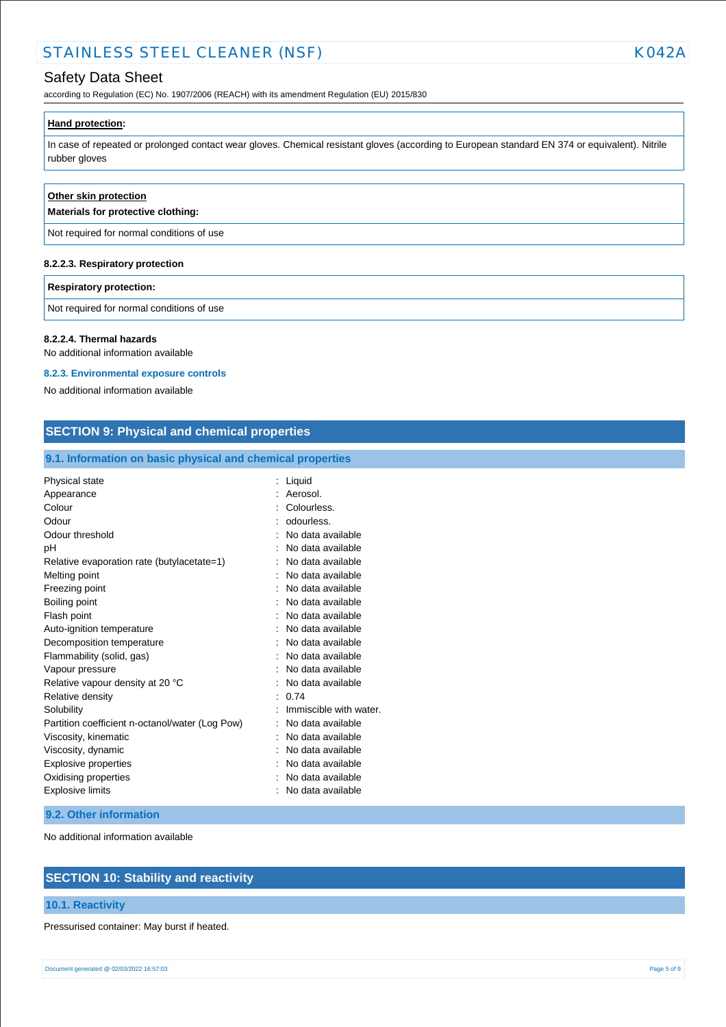# STAINLESS STEEL CLEANER (NSF) NAMEL AND RESEARCH MARK AND A RESEARCH MARK AND RESEARCH MARK AND RESEARCH MARK AND RESEARCH MARK AND RESEARCH MARK AND RESEARCH MARK AND RESEARCH MARK AND RESEARCH MARK AND RESEARCH MARK AND

according to Regulation (EC) No. 1907/2006 (REACH) with its amendment Regulation (EU) 2015/830

#### **Hand protection:**

In case of repeated or prolonged contact wear gloves. Chemical resistant gloves (according to European standard EN 374 or equivalent). Nitrile rubber gloves

| Other skin protection<br>Materials for protective clothing: |  |
|-------------------------------------------------------------|--|
| Not required for normal conditions of use                   |  |
| 8.2.2.3. Respiratory protection                             |  |
| <b>Respiratory protection:</b>                              |  |
| Not required for normal conditions of use                   |  |

**8.2.2.4. Thermal hazards**

No additional information available

#### **8.2.3. Environmental exposure controls**

No additional information available

| 9.1. Information on basic physical and chemical properties |                        |  |
|------------------------------------------------------------|------------------------|--|
| Physical state                                             | : Liquid               |  |
| Appearance                                                 | Aerosol.               |  |
| Colour                                                     | Colourless.            |  |
| Odour                                                      | odourless.             |  |
| Odour threshold                                            | No data available      |  |
| pH                                                         | No data available      |  |
| Relative evaporation rate (butylacetate=1)                 | No data available      |  |
| Melting point                                              | No data available      |  |
| Freezing point                                             | No data available      |  |
| Boiling point                                              | No data available      |  |
| Flash point                                                | No data available      |  |
| Auto-ignition temperature                                  | No data available      |  |
| Decomposition temperature                                  | No data available      |  |
| Flammability (solid, gas)                                  | No data available      |  |
| Vapour pressure                                            | No data available      |  |
| Relative vapour density at 20 °C                           | No data available      |  |
| Relative density                                           | 0.74                   |  |
| Solubility                                                 | Immiscible with water. |  |
| Partition coefficient n-octanol/water (Log Pow)            | No data available      |  |
| Viscosity, kinematic                                       | No data available      |  |
| Viscosity, dynamic                                         | No data available      |  |
| <b>Explosive properties</b>                                | No data available      |  |
| Oxidising properties                                       | No data available      |  |
| <b>Explosive limits</b>                                    | No data available      |  |

#### **9.2. Other information**

No additional information available

## **SECTION 10: Stability and reactivity**

#### **10.1. Reactivity**

Pressurised container: May burst if heated.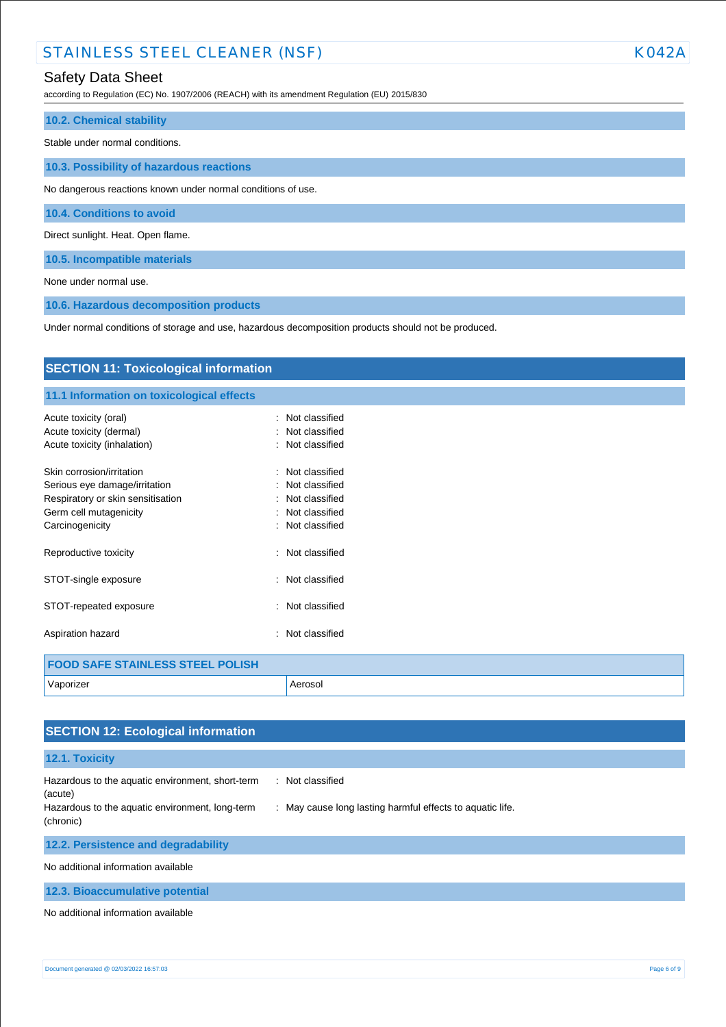# STAINLESS STEEL CLEANER (NSF) NORTH STAINLESS STEEL CLEANER (NSF)

### Safety Data Sheet

according to Regulation (EC) No. 1907/2006 (REACH) with its amendment Regulation (EU) 2015/830

# **10.2. Chemical stability** Stable under normal conditions.

**10.3. Possibility of hazardous reactions**

No dangerous reactions known under normal conditions of use.

**10.4. Conditions to avoid**

Direct sunlight. Heat. Open flame.

**10.5. Incompatible materials**

None under normal use.

**10.6. Hazardous decomposition products**

Under normal conditions of storage and use, hazardous decomposition products should not be produced.

| <b>SECTION 11: Toxicological information</b>                       |                                        |  |
|--------------------------------------------------------------------|----------------------------------------|--|
| 11.1 Information on toxicological effects                          |                                        |  |
| Acute toxicity (oral)                                              | Not classified<br>۰.<br>Not classified |  |
| Acute toxicity (dermal)<br>Acute toxicity (inhalation)             | : Not classified                       |  |
| Skin corrosion/irritation                                          | Not classified                         |  |
| Serious eye damage/irritation<br>Respiratory or skin sensitisation | Not classified<br>Not classified       |  |
| Germ cell mutagenicity                                             | Not classified                         |  |
| Carcinogenicity                                                    | Not classified                         |  |
| Reproductive toxicity                                              | Not classified<br>۰.                   |  |
| STOT-single exposure                                               | Not classified<br>÷                    |  |
| STOT-repeated exposure                                             | Not classified<br>÷                    |  |
| Aspiration hazard                                                  | Not classified                         |  |
| <b>FOOD SAFE STAINLESS STEEL POLISH</b>                            |                                        |  |
| Vaporizer                                                          | Aerosol                                |  |

| <b>SECTION 12: Ecological information</b>                                                                                   |                                                                               |
|-----------------------------------------------------------------------------------------------------------------------------|-------------------------------------------------------------------------------|
| 12.1. Toxicity                                                                                                              |                                                                               |
| Hazardous to the aquatic environment, short-term<br>(acute)<br>Hazardous to the aquatic environment, long-term<br>(chronic) | : Not classified<br>: May cause long lasting harmful effects to aquatic life. |
| 12.2. Persistence and degradability                                                                                         |                                                                               |
| No additional information available                                                                                         |                                                                               |
| 12.3. Bioaccumulative potential                                                                                             |                                                                               |
| No additional information available                                                                                         |                                                                               |

Document generated @ 02/03/2022 16:57:03 Page 6 of 9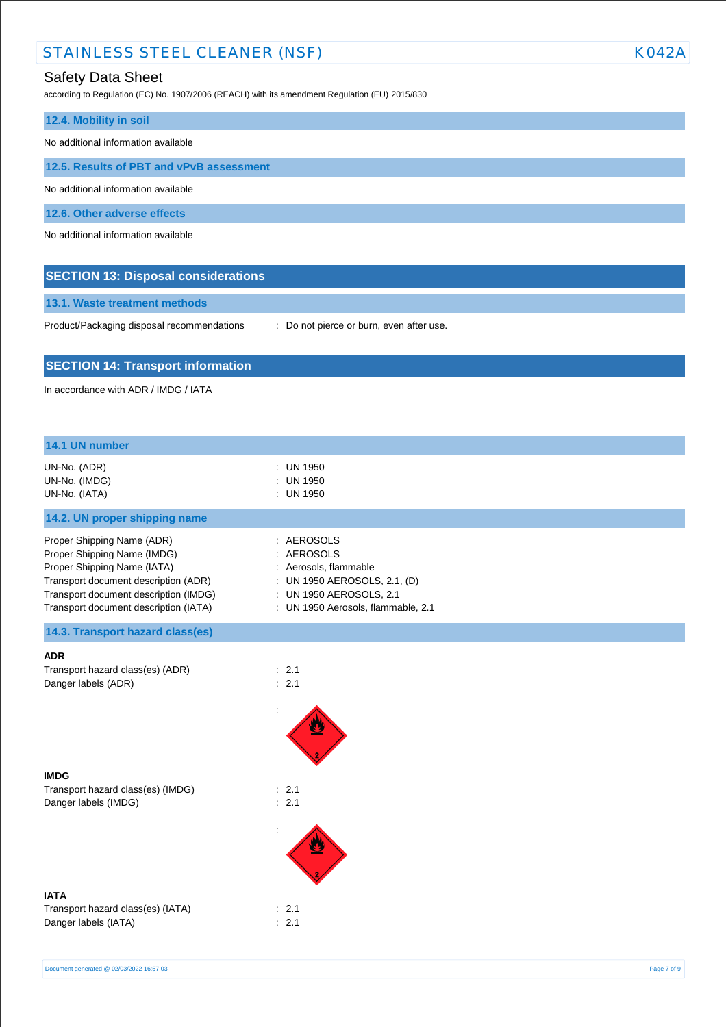# STAINLESS STEEL CLEANER (NSF) NORTH STAINLESS STEEL CLEANER (NSF)

# Safety Data Sheet

according to Regulation (EC) No. 1907/2006 (REACH) with its amendment Regulation (EU) 2015/830

| 12.4. Mobility in soil                   |
|------------------------------------------|
| No additional information available      |
| 12.5. Results of PBT and vPvB assessment |
| No additional information available      |
| 12.6. Other adverse effects              |
| No additional information available      |

| 13.1. Waste treatment methods |  |
|-------------------------------|--|

**SECTION 13: Disposal considerations**

Product/Packaging disposal recommendations : Do not pierce or burn, even after use.

### **SECTION 14: Transport information**

In accordance with ADR / IMDG / IATA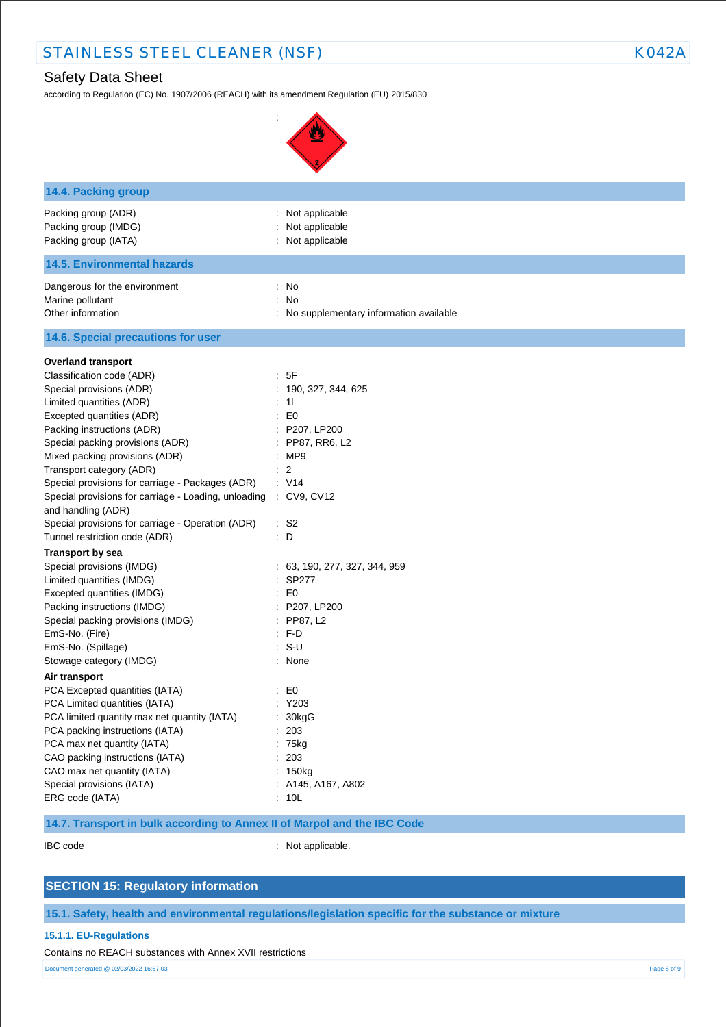# Safety Data Sheet

according to Regulation (EC) No. 1907/2006 (REACH) with its amendment Regulation (EU) 2015/830

:

| 14.4. Packing group                                                                                                                                                                                                                                    |                                                                                                                                            |
|--------------------------------------------------------------------------------------------------------------------------------------------------------------------------------------------------------------------------------------------------------|--------------------------------------------------------------------------------------------------------------------------------------------|
| Packing group (ADR)<br>Packing group (IMDG)<br>Packing group (IATA)                                                                                                                                                                                    | : Not applicable<br>Not applicable<br>Not applicable                                                                                       |
| <b>14.5. Environmental hazards</b>                                                                                                                                                                                                                     |                                                                                                                                            |
| Dangerous for the environment<br>Marine pollutant<br>Other information                                                                                                                                                                                 | No<br>÷<br>No<br>$\ddot{\cdot}$<br>No supplementary information available                                                                  |
| 14.6. Special precautions for user                                                                                                                                                                                                                     |                                                                                                                                            |
| <b>Overland transport</b><br>Classification code (ADR)<br>Special provisions (ADR)<br>Limited quantities (ADR)                                                                                                                                         | : 5F<br>: 190, 327, 344, 625<br>11                                                                                                         |
| Excepted quantities (ADR)<br>Packing instructions (ADR)<br>Special packing provisions (ADR)<br>Mixed packing provisions (ADR)                                                                                                                          | E <sub>0</sub><br>÷<br>P207, LP200<br>÷.<br>: PP87, RR6, L2<br>:MP9                                                                        |
| Transport category (ADR)<br>Special provisions for carriage - Packages (ADR)<br>Special provisions for carriage - Loading, unloading : CV9, CV12<br>and handling (ADR)                                                                                 | $\ddot{\cdot}$<br>$\overline{2}$<br>: V14                                                                                                  |
| Special provisions for carriage - Operation (ADR)<br>Tunnel restriction code (ADR)                                                                                                                                                                     | $:$ S <sub>2</sub><br>: D                                                                                                                  |
| <b>Transport by sea</b><br>Special provisions (IMDG)<br>Limited quantities (IMDG)<br>Excepted quantities (IMDG)<br>Packing instructions (IMDG)<br>Special packing provisions (IMDG)<br>EmS-No. (Fire)<br>EmS-No. (Spillage)<br>Stowage category (IMDG) | 63, 190, 277, 327, 344, 959<br><b>SP277</b><br>E <sub>0</sub><br>P207, LP200<br>PP87, L2<br>$\ddot{\phantom{a}}$<br>F-D<br>$S-U$<br>: None |
| Air transport<br>PCA Excepted quantities (IATA)<br>PCA Limited quantities (IATA)<br>PCA limited quantity max net quantity (IATA)<br>PCA packing instructions (IATA)<br>PCA max net quantity (IATA)                                                     | $\mathbf{E}$ = $\mathbf{E}$<br>Y203<br>30kgG<br>203<br>: 75kg                                                                              |

Special provisions (IATA) : A145, A167, A802 ERG code (IATA) : 10L

CAO packing instructions (IATA) : 203 CAO max net quantity (IATA) : 150kg

**14.7. Transport in bulk according to Annex II of Marpol and the IBC Code**

IBC code : Not applicable.

### **SECTION 15: Regulatory information**

**15.1. Safety, health and environmental regulations/legislation specific for the substance or mixture**

#### **15.1.1. EU-Regulations**

Contains no REACH substances with Annex XVII restrictions